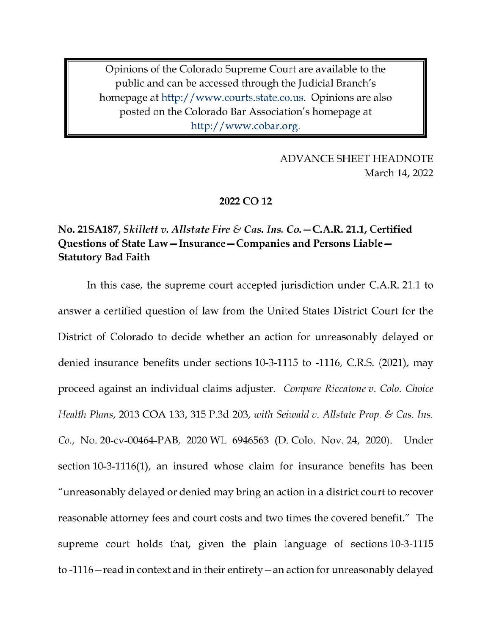Opinions of the Colorado Supreme Court are available to the public and can be accessed through the Judicial Branch's homepage at http://www.courts.state.co.us. Opinions are also posted on the Colorado Bar Association's homepage at http://www.cobar.org.

> **ADVANCE SHEET HEADNOTE** March 14, 2022

#### 2022 CO 12

## No. 21SA187, Skillett v. Allstate Fire & Cas. Ins. Co.  $-$  C.A.R. 21.1, Certified Questions of State Law – Insurance – Companies and Persons Liable – **Statutory Bad Faith**

In this case, the supreme court accepted jurisdiction under C.A.R. 21.1 to answer a certified question of law from the United States District Court for the District of Colorado to decide whether an action for unreasonably delayed or denied insurance benefits under sections 10-3-1115 to -1116, C.R.S. (2021), may proceed against an individual claims adjuster. Compare Riccatone v. Colo. Choice Health Plans, 2013 COA 133, 315 P.3d 203, with Seiwald v. Allstate Prop. & Cas. Ins. Co., No. 20-cv-00464-PAB, 2020 WL 6946563 (D. Colo. Nov. 24, 2020). Under section 10-3-1116(1), an insured whose claim for insurance benefits has been "unreasonably delayed or denied may bring an action in a district court to recover reasonable attorney fees and court costs and two times the covered benefit." The supreme court holds that, given the plain language of sections 10-3-1115 to -1116 – read in context and in their entirety – an action for unreasonably delayed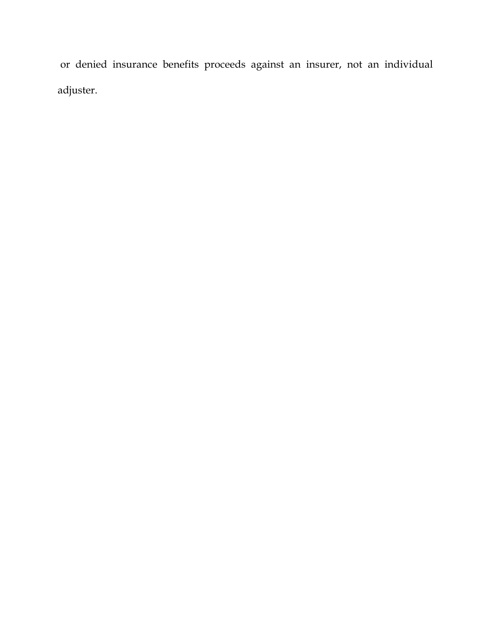or denied insurance benefits proceeds against an insurer, not an individual adjuster.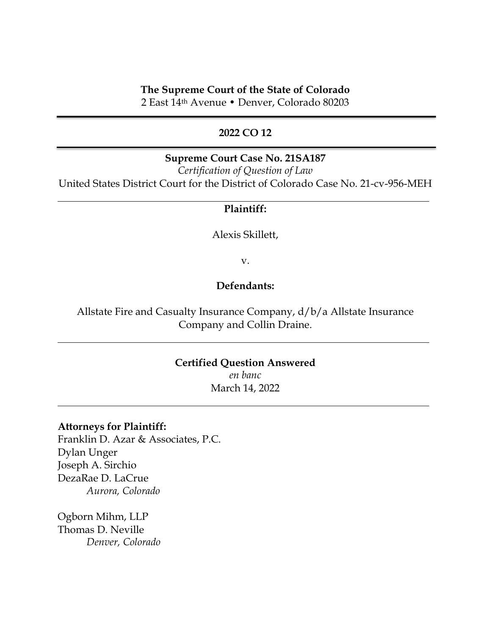#### **The Supreme Court of the State of Colorado**

2 East 14th Avenue • Denver, Colorado 80203

#### **2022 CO 12**

#### **Supreme Court Case No. 21SA187**

*Certification of Question of Law* United States District Court for the District of Colorado Case No. 21-cv-956-MEH

#### **Plaintiff:**

Alexis Skillett,

v.

#### **Defendants:**

Allstate Fire and Casualty Insurance Company, d/b/a Allstate Insurance Company and Collin Draine.

# **Certified Question Answered**

*en banc* March 14, 2022

## **Attorneys for Plaintiff:**

Franklin D. Azar & Associates, P.C. Dylan Unger Joseph A. Sirchio DezaRae D. LaCrue *Aurora, Colorado*

Ogborn Mihm, LLP Thomas D. Neville *Denver, Colorado*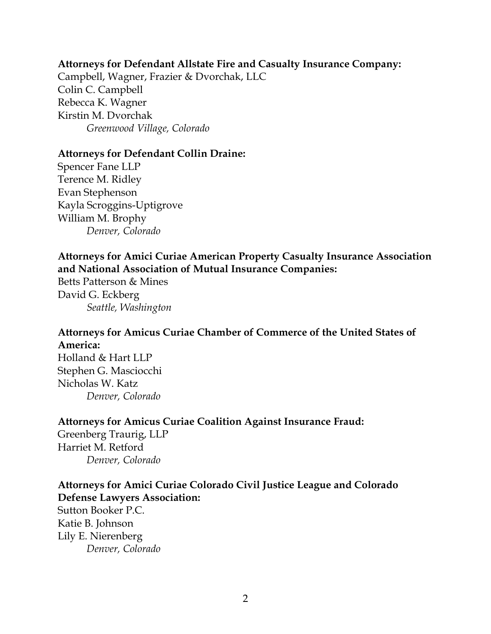## **Attorneys for Defendant Allstate Fire and Casualty Insurance Company:**

Campbell, Wagner, Frazier & Dvorchak, LLC Colin C. Campbell Rebecca K. Wagner Kirstin M. Dvorchak *Greenwood Village, Colorado*

#### **Attorneys for Defendant Collin Draine:**

Spencer Fane LLP Terence M. Ridley Evan Stephenson Kayla Scroggins-Uptigrove William M. Brophy *Denver, Colorado*

## **Attorneys for Amici Curiae American Property Casualty Insurance Association and National Association of Mutual Insurance Companies:**

Betts Patterson & Mines David G. Eckberg *Seattle, Washington*

## **Attorneys for Amicus Curiae Chamber of Commerce of the United States of America:**

Holland & Hart LLP Stephen G. Masciocchi Nicholas W. Katz *Denver, Colorado*

## **Attorneys for Amicus Curiae Coalition Against Insurance Fraud:**

Greenberg Traurig, LLP Harriet M. Retford *Denver, Colorado*

## **Attorneys for Amici Curiae Colorado Civil Justice League and Colorado Defense Lawyers Association:**

Sutton Booker P.C. Katie B. Johnson Lily E. Nierenberg *Denver, Colorado*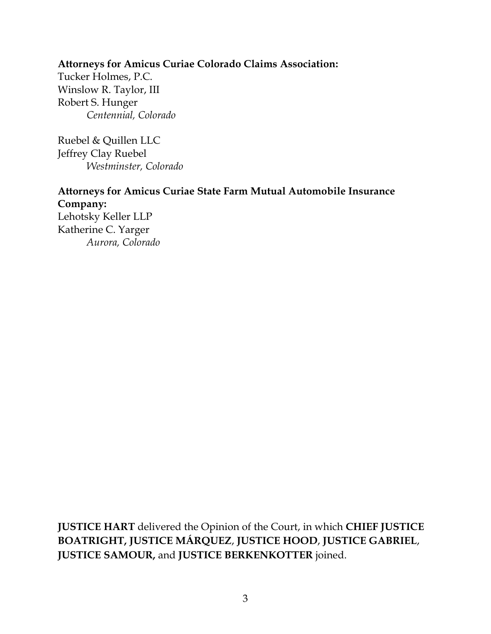## **Attorneys for Amicus Curiae Colorado Claims Association:**

Tucker Holmes, P.C. Winslow R. Taylor, III Robert S. Hunger *Centennial, Colorado*

Ruebel & Quillen LLC Jeffrey Clay Ruebel *Westminster, Colorado*

## **Attorneys for Amicus Curiae State Farm Mutual Automobile Insurance Company:**

Lehotsky Keller LLP Katherine C. Yarger *Aurora, Colorado*

**JUSTICE HART** delivered the Opinion of the Court, in which **CHIEF JUSTICE BOATRIGHT, JUSTICE MÁRQUEZ**, **JUSTICE HOOD**, **JUSTICE GABRIEL**, **JUSTICE SAMOUR,** and **JUSTICE BERKENKOTTER** joined.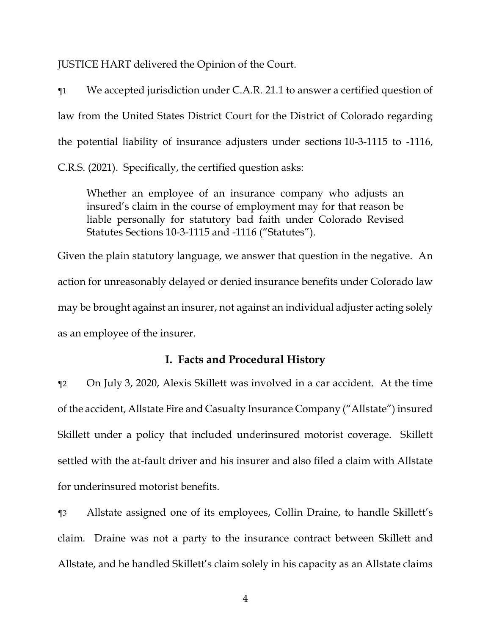JUSTICE HART delivered the Opinion of the Court.

¶1 We accepted jurisdiction under C.A.R. 21.1 to answer a certified question of law from the United States District Court for the District of Colorado regarding the potential liability of insurance adjusters under sections 10-3-1115 to -1116, C.R.S. (2021). Specifically, the certified question asks:

Whether an employee of an insurance company who adjusts an insured's claim in the course of employment may for that reason be liable personally for statutory bad faith under Colorado Revised Statutes Sections 10-3-1115 and -1116 ("Statutes").

Given the plain statutory language, we answer that question in the negative. An action for unreasonably delayed or denied insurance benefits under Colorado law may be brought against an insurer, not against an individual adjuster acting solely as an employee of the insurer.

#### **I. Facts and Procedural History**

¶2 On July 3, 2020, Alexis Skillett was involved in a car accident. At the time of the accident, Allstate Fire and Casualty Insurance Company ("Allstate") insured Skillett under a policy that included underinsured motorist coverage. Skillett settled with the at-fault driver and his insurer and also filed a claim with Allstate for underinsured motorist benefits.

¶3 Allstate assigned one of its employees, Collin Draine, to handle Skillett's claim. Draine was not a party to the insurance contract between Skillett and Allstate, and he handled Skillett's claim solely in his capacity as an Allstate claims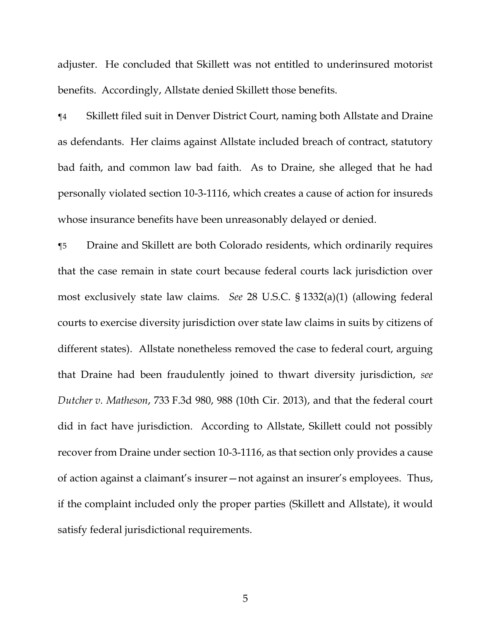adjuster. He concluded that Skillett was not entitled to underinsured motorist benefits. Accordingly, Allstate denied Skillett those benefits.

¶4 Skillett filed suit in Denver District Court, naming both Allstate and Draine as defendants. Her claims against Allstate included breach of contract, statutory bad faith, and common law bad faith. As to Draine, she alleged that he had personally violated section 10-3-1116, which creates a cause of action for insureds whose insurance benefits have been unreasonably delayed or denied.

¶5 Draine and Skillett are both Colorado residents, which ordinarily requires that the case remain in state court because federal courts lack jurisdiction over most exclusively state law claims. *See* 28 U.S.C. § 1332(a)(1) (allowing federal courts to exercise diversity jurisdiction over state law claims in suits by citizens of different states). Allstate nonetheless removed the case to federal court, arguing that Draine had been fraudulently joined to thwart diversity jurisdiction, *see Dutcher v. Matheson*, 733 F.3d 980, 988 (10th Cir. 2013), and that the federal court did in fact have jurisdiction. According to Allstate, Skillett could not possibly recover from Draine under section 10-3-1116, as that section only provides a cause of action against a claimant's insurer—not against an insurer's employees. Thus, if the complaint included only the proper parties (Skillett and Allstate), it would satisfy federal jurisdictional requirements.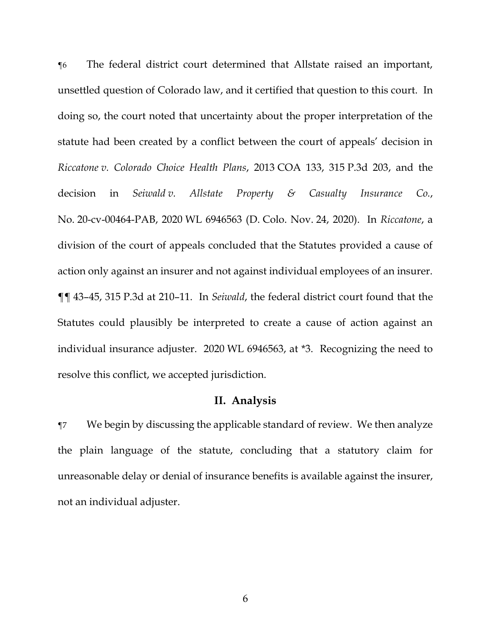¶6 The federal district court determined that Allstate raised an important, unsettled question of Colorado law, and it certified that question to this court. In doing so, the court noted that uncertainty about the proper interpretation of the statute had been created by a conflict between the court of appeals' decision in *Riccatone v. Colorado Choice Health Plans*, 2013 COA 133, 315 P.3d 203, and the decision in *Seiwald v. Allstate Property & Casualty Insurance Co.*, No. 20-cv-00464-PAB, 2020 WL 6946563 (D. Colo. Nov. 24, 2020). In *Riccatone*, a division of the court of appeals concluded that the Statutes provided a cause of action only against an insurer and not against individual employees of an insurer. ¶¶ 43–45, 315 P.3d at 210–11. In *Seiwald*, the federal district court found that the Statutes could plausibly be interpreted to create a cause of action against an individual insurance adjuster. 2020 WL 6946563, at \*3. Recognizing the need to resolve this conflict, we accepted jurisdiction.

#### **II. Analysis**

¶7 We begin by discussing the applicable standard of review. We then analyze the plain language of the statute, concluding that a statutory claim for unreasonable delay or denial of insurance benefits is available against the insurer, not an individual adjuster.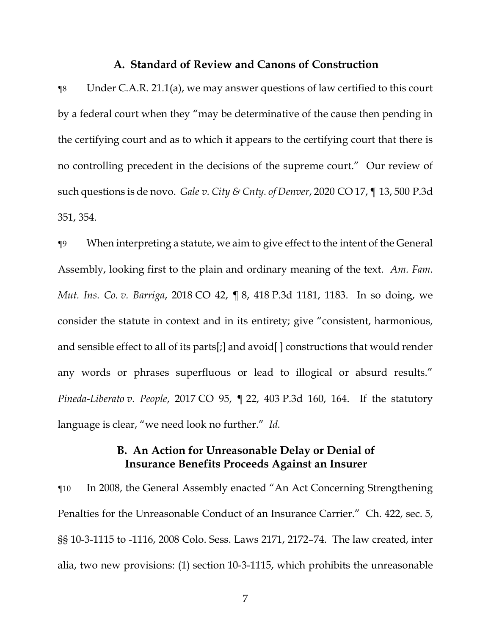#### **A. Standard of Review and Canons of Construction**

¶8 Under C.A.R. 21.1(a), we may answer questions of law certified to this court by a federal court when they "may be determinative of the cause then pending in the certifying court and as to which it appears to the certifying court that there is no controlling precedent in the decisions of the supreme court." Our review of such questions is de novo. *Gale v. City & Cnty. of Denver*, 2020 CO 17, ¶ 13, 500 P.3d 351, 354.

¶9 When interpreting a statute, we aim to give effect to the intent of the General Assembly, looking first to the plain and ordinary meaning of the text. *Am. Fam. Mut. Ins. Co. v. Barriga*, 2018 CO 42, ¶ 8, 418 P.3d 1181, 1183. In so doing, we consider the statute in context and in its entirety; give "consistent, harmonious, and sensible effect to all of its parts[;] and avoid[ ] constructions that would render any words or phrases superfluous or lead to illogical or absurd results." *Pineda*-*Liberato v. People*, 2017 CO 95, ¶ 22, 403 P.3d 160, 164. If the statutory language is clear, "we need look no further." *Id.*

## **B. An Action for Unreasonable Delay or Denial of Insurance Benefits Proceeds Against an Insurer**

¶10 In 2008, the General Assembly enacted "An Act Concerning Strengthening Penalties for the Unreasonable Conduct of an Insurance Carrier." Ch. 422, sec. 5, §§ 10-3-1115 to -1116, 2008 Colo. Sess. Laws 2171, 2172–74. The law created, inter alia, two new provisions: (1) section 10-3-1115, which prohibits the unreasonable

7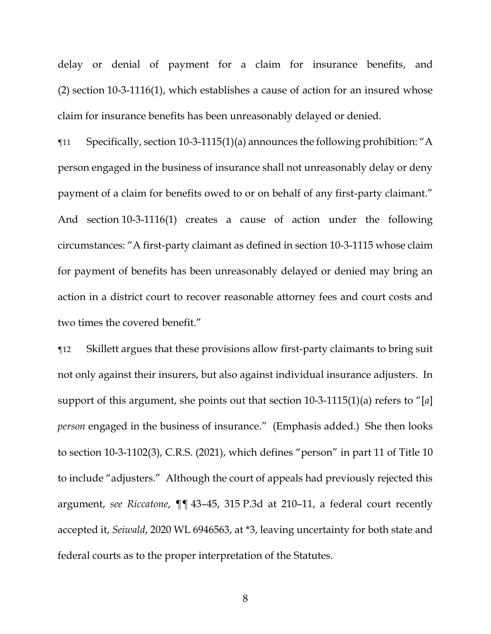delay or denial of payment for a claim for insurance benefits, and (2) section 10-3-1116(1), which establishes a cause of action for an insured whose claim for insurance benefits has been unreasonably delayed or denied.

¶11 Specifically, section 10-3-1115(1)(a) announces the following prohibition: "A person engaged in the business of insurance shall not unreasonably delay or deny payment of a claim for benefits owed to or on behalf of any first-party claimant." And section 10-3-1116(1) creates a cause of action under the following circumstances: "A first-party claimant as defined in section 10-3-1115 whose claim for payment of benefits has been unreasonably delayed or denied may bring an action in a district court to recover reasonable attorney fees and court costs and two times the covered benefit."

¶12 Skillett argues that these provisions allow first-party claimants to bring suit not only against their insurers, but also against individual insurance adjusters. In support of this argument, she points out that section 10-3-1115(1)(a) refers to "[*a*] *person* engaged in the business of insurance." (Emphasis added.) She then looks to section 10-3-1102(3), C.R.S. (2021), which defines "person" in part 11 of Title 10 to include "adjusters." Although the court of appeals had previously rejected this argument, *see Riccatone*, ¶¶ 43–45, 315 P.3d at 210–11, a federal court recently accepted it, *Seiwald*, 2020 WL 6946563, at \*3, leaving uncertainty for both state and federal courts as to the proper interpretation of the Statutes.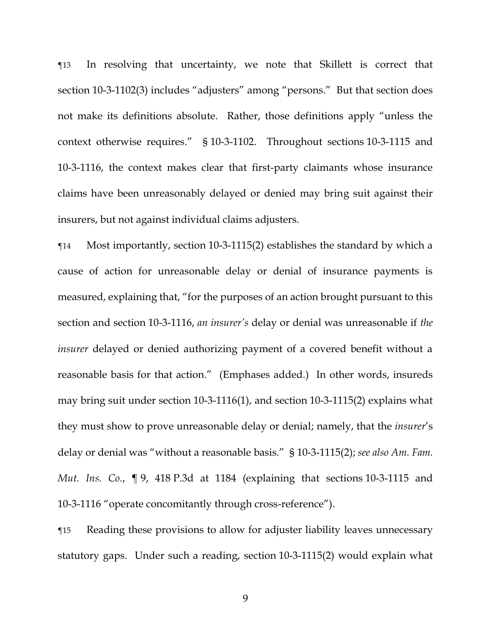¶13 In resolving that uncertainty, we note that Skillett is correct that section 10-3-1102(3) includes "adjusters" among "persons." But that section does not make its definitions absolute. Rather, those definitions apply "unless the context otherwise requires." § 10-3-1102. Throughout sections 10-3-1115 and 10-3-1116, the context makes clear that first-party claimants whose insurance claims have been unreasonably delayed or denied may bring suit against their insurers, but not against individual claims adjusters.

¶14 Most importantly, section 10-3-1115(2) establishes the standard by which a cause of action for unreasonable delay or denial of insurance payments is measured, explaining that, "for the purposes of an action brought pursuant to this section and section 10-3-1116, *an insurer's* delay or denial was unreasonable if *the insurer* delayed or denied authorizing payment of a covered benefit without a reasonable basis for that action." (Emphases added.) In other words, insureds may bring suit under section 10-3-1116(1), and section 10-3-1115(2) explains what they must show to prove unreasonable delay or denial; namely, that the *insurer*'s delay or denial was "without a reasonable basis." § 10-3-1115(2); *see also Am. Fam. Mut. Ins. Co.*, ¶ 9, 418 P.3d at 1184 (explaining that sections 10-3-1115 and 10-3-1116 "operate concomitantly through cross-reference").

¶15 Reading these provisions to allow for adjuster liability leaves unnecessary statutory gaps. Under such a reading, section 10-3-1115(2) would explain what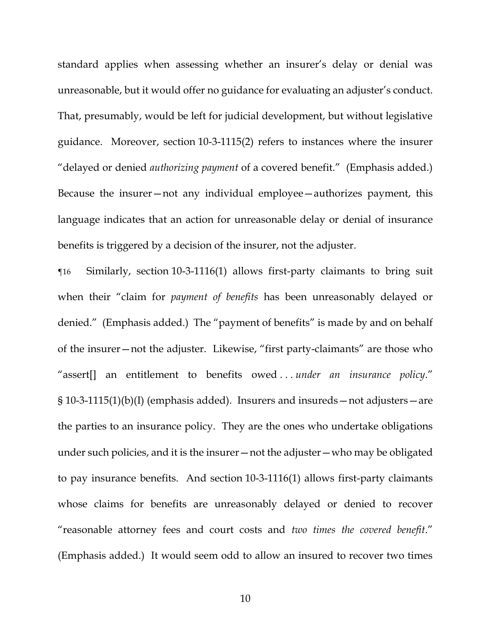standard applies when assessing whether an insurer's delay or denial was unreasonable, but it would offer no guidance for evaluating an adjuster's conduct. That, presumably, would be left for judicial development, but without legislative guidance. Moreover, section 10-3-1115(2) refers to instances where the insurer "delayed or denied *authorizing payment* of a covered benefit." (Emphasis added.) Because the insurer—not any individual employee—authorizes payment, this language indicates that an action for unreasonable delay or denial of insurance benefits is triggered by a decision of the insurer, not the adjuster.

¶16 Similarly, section 10-3-1116(1) allows first-party claimants to bring suit when their "claim for *payment of benefits* has been unreasonably delayed or denied." (Emphasis added.) The "payment of benefits" is made by and on behalf of the insurer—not the adjuster. Likewise, "first party-claimants" are those who "assert[] an entitlement to benefits owed . . . *under an insurance policy*."  $\S 10-3-1115(1)(b)(I)$  (emphasis added). Insurers and insureds – not adjusters – are the parties to an insurance policy. They are the ones who undertake obligations under such policies, and it is the insurer—not the adjuster—who may be obligated to pay insurance benefits. And section 10-3-1116(1) allows first-party claimants whose claims for benefits are unreasonably delayed or denied to recover "reasonable attorney fees and court costs and *two times the covered benefit*." (Emphasis added.) It would seem odd to allow an insured to recover two times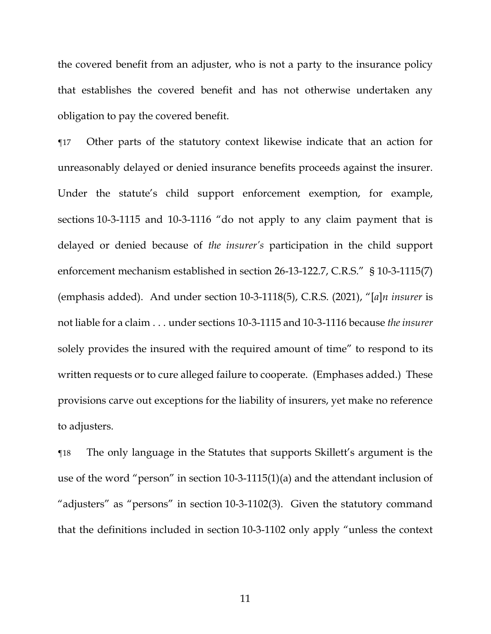the covered benefit from an adjuster, who is not a party to the insurance policy that establishes the covered benefit and has not otherwise undertaken any obligation to pay the covered benefit.

¶17 Other parts of the statutory context likewise indicate that an action for unreasonably delayed or denied insurance benefits proceeds against the insurer. Under the statute's child support enforcement exemption, for example, sections 10-3-1115 and 10-3-1116 "do not apply to any claim payment that is delayed or denied because of *the insurer's* participation in the child support enforcement mechanism established in section 26-13-122.7, C.R.S." § 10-3-1115(7) (emphasis added). And under section 10-3-1118(5), C.R.S. (2021), "[*a*]*n insurer* is not liable for a claim . . . under sections 10-3-1115 and 10-3-1116 because *the insurer* solely provides the insured with the required amount of time" to respond to its written requests or to cure alleged failure to cooperate. (Emphases added.) These provisions carve out exceptions for the liability of insurers, yet make no reference to adjusters.

¶18 The only language in the Statutes that supports Skillett's argument is the use of the word "person" in section 10-3-1115(1)(a) and the attendant inclusion of "adjusters" as "persons" in section 10-3-1102(3). Given the statutory command that the definitions included in section 10-3-1102 only apply "unless the context

11